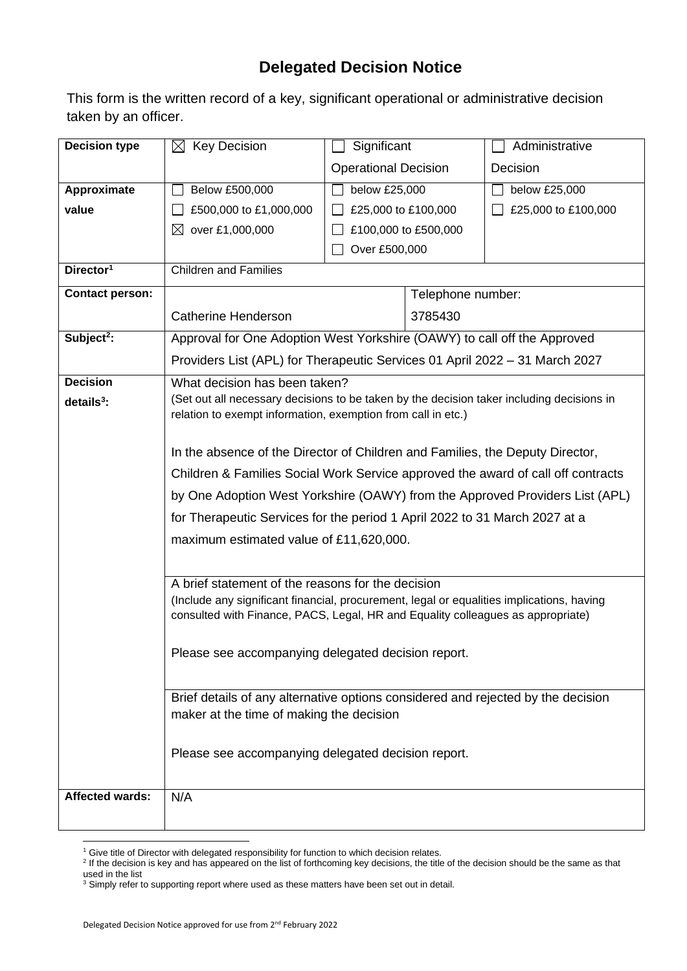## **Delegated Decision Notice**

This form is the written record of a key, significant operational or administrative decision taken by an officer.

| <b>Decision type</b>   | $\boxtimes$ Key Decision                                                                  | Significant                                                              |         | Administrative      |  |
|------------------------|-------------------------------------------------------------------------------------------|--------------------------------------------------------------------------|---------|---------------------|--|
|                        |                                                                                           | <b>Operational Decision</b>                                              |         | Decision            |  |
| Approximate            | Below £500,000                                                                            | below £25,000                                                            |         | below £25,000       |  |
| value                  | £500,000 to £1,000,000                                                                    | £25,000 to £100,000                                                      |         | £25,000 to £100,000 |  |
|                        | over £1,000,000<br>$\bowtie$                                                              | £100,000 to £500,000                                                     |         |                     |  |
|                        |                                                                                           | Over £500,000                                                            |         |                     |  |
| Director <sup>1</sup>  | <b>Children and Families</b>                                                              |                                                                          |         |                     |  |
| <b>Contact person:</b> |                                                                                           | Telephone number:                                                        |         |                     |  |
|                        | <b>Catherine Henderson</b>                                                                |                                                                          | 3785430 |                     |  |
| Subject <sup>2</sup> : |                                                                                           | Approval for One Adoption West Yorkshire (OAWY) to call off the Approved |         |                     |  |
|                        | Providers List (APL) for Therapeutic Services 01 April 2022 - 31 March 2027               |                                                                          |         |                     |  |
| <b>Decision</b>        | What decision has been taken?                                                             |                                                                          |         |                     |  |
| $details3$ :           | (Set out all necessary decisions to be taken by the decision taker including decisions in |                                                                          |         |                     |  |
|                        | relation to exempt information, exemption from call in etc.)                              |                                                                          |         |                     |  |
|                        | In the absence of the Director of Children and Families, the Deputy Director,             |                                                                          |         |                     |  |
|                        | Children & Families Social Work Service approved the award of call off contracts          |                                                                          |         |                     |  |
|                        | by One Adoption West Yorkshire (OAWY) from the Approved Providers List (APL)              |                                                                          |         |                     |  |
|                        | for Therapeutic Services for the period 1 April 2022 to 31 March 2027 at a                |                                                                          |         |                     |  |
|                        | maximum estimated value of £11,620,000.                                                   |                                                                          |         |                     |  |
|                        |                                                                                           |                                                                          |         |                     |  |
|                        | A brief statement of the reasons for the decision                                         |                                                                          |         |                     |  |
|                        | (Include any significant financial, procurement, legal or equalities implications, having |                                                                          |         |                     |  |
|                        | consulted with Finance, PACS, Legal, HR and Equality colleagues as appropriate)           |                                                                          |         |                     |  |
|                        | Please see accompanying delegated decision report.                                        |                                                                          |         |                     |  |
|                        |                                                                                           |                                                                          |         |                     |  |
|                        | Brief details of any alternative options considered and rejected by the decision          |                                                                          |         |                     |  |
|                        | maker at the time of making the decision                                                  |                                                                          |         |                     |  |
|                        |                                                                                           |                                                                          |         |                     |  |
|                        |                                                                                           | Please see accompanying delegated decision report.                       |         |                     |  |
|                        |                                                                                           |                                                                          |         |                     |  |
| <b>Affected wards:</b> | N/A                                                                                       |                                                                          |         |                     |  |
|                        |                                                                                           |                                                                          |         |                     |  |

<sup>&</sup>lt;sup>1</sup> Give title of Director with delegated responsibility for function to which decision relates.

<sup>&</sup>lt;sup>2</sup> If the decision is key and has appeared on the list of forthcoming key decisions, the title of the decision should be the same as that used in the list

 $3$  Simply refer to supporting report where used as these matters have been set out in detail.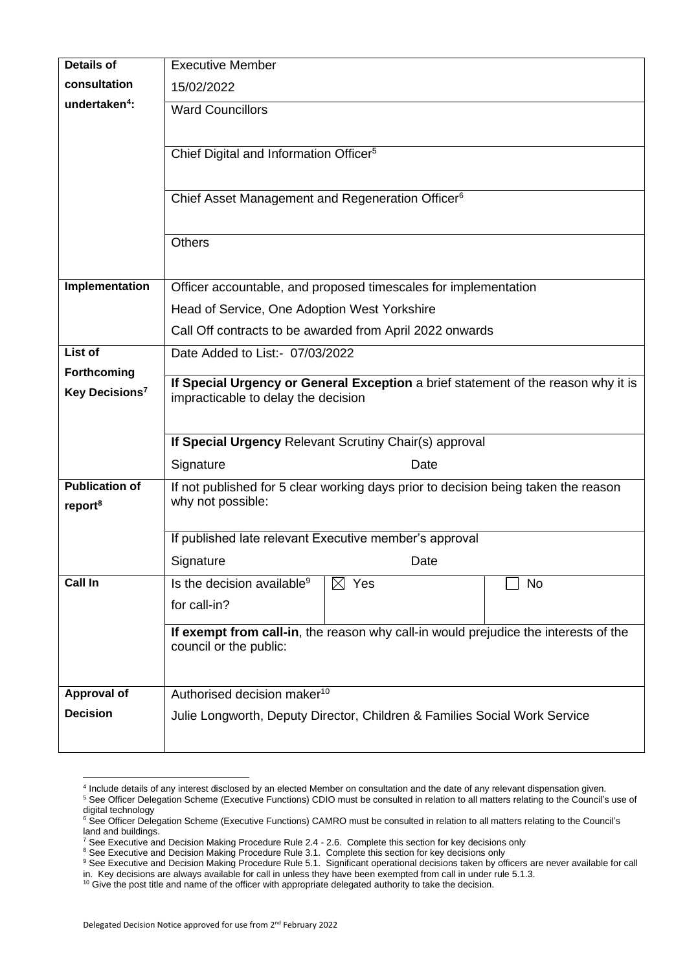| <b>Details of</b>          | <b>Executive Member</b>                                                             |  |  |  |  |
|----------------------------|-------------------------------------------------------------------------------------|--|--|--|--|
| consultation               | 15/02/2022                                                                          |  |  |  |  |
| undertaken <sup>4</sup> :  | <b>Ward Councillors</b>                                                             |  |  |  |  |
|                            |                                                                                     |  |  |  |  |
|                            | Chief Digital and Information Officer <sup>5</sup>                                  |  |  |  |  |
|                            |                                                                                     |  |  |  |  |
|                            | Chief Asset Management and Regeneration Officer <sup>6</sup>                        |  |  |  |  |
|                            | <b>Others</b>                                                                       |  |  |  |  |
|                            |                                                                                     |  |  |  |  |
| Implementation             | Officer accountable, and proposed timescales for implementation                     |  |  |  |  |
|                            |                                                                                     |  |  |  |  |
|                            | Head of Service, One Adoption West Yorkshire                                        |  |  |  |  |
|                            | Call Off contracts to be awarded from April 2022 onwards                            |  |  |  |  |
| List of                    | Date Added to List:- 07/03/2022                                                     |  |  |  |  |
| Forthcoming                | If Special Urgency or General Exception a brief statement of the reason why it is   |  |  |  |  |
| Key Decisions <sup>7</sup> | impracticable to delay the decision                                                 |  |  |  |  |
|                            |                                                                                     |  |  |  |  |
|                            | If Special Urgency Relevant Scrutiny Chair(s) approval                              |  |  |  |  |
|                            | Signature<br>Date                                                                   |  |  |  |  |
| <b>Publication of</b>      | If not published for 5 clear working days prior to decision being taken the reason  |  |  |  |  |
| report <sup>8</sup>        | why not possible:                                                                   |  |  |  |  |
|                            |                                                                                     |  |  |  |  |
|                            | If published late relevant Executive member's approval                              |  |  |  |  |
|                            | Signature<br>Date                                                                   |  |  |  |  |
| Call In                    | Is the decision available <sup>9</sup><br>$\boxtimes$ Yes<br>No                     |  |  |  |  |
|                            | for call-in?                                                                        |  |  |  |  |
|                            | If exempt from call-in, the reason why call-in would prejudice the interests of the |  |  |  |  |
|                            | council or the public:                                                              |  |  |  |  |
|                            |                                                                                     |  |  |  |  |
| Approval of                | Authorised decision maker <sup>10</sup>                                             |  |  |  |  |
| <b>Decision</b>            | Julie Longworth, Deputy Director, Children & Families Social Work Service           |  |  |  |  |
|                            |                                                                                     |  |  |  |  |
|                            |                                                                                     |  |  |  |  |

<sup>4</sup> Include details of any interest disclosed by an elected Member on consultation and the date of any relevant dispensation given.

<sup>&</sup>lt;sup>5</sup> See Officer Delegation Scheme (Executive Functions) CDIO must be consulted in relation to all matters relating to the Council's use of digital technology

<sup>&</sup>lt;sup>6</sup> See Officer Delegation Scheme (Executive Functions) CAMRO must be consulted in relation to all matters relating to the Council's land and buildings.

 $^7$  See Executive and Decision Making Procedure Rule 2.4 - 2.6. Complete this section for key decisions only

<sup>&</sup>lt;sup>8</sup> See Executive and Decision Making Procedure Rule 3.1. Complete this section for key decisions only

<sup>&</sup>lt;sup>9</sup> See Executive and Decision Making Procedure Rule 5.1. Significant operational decisions taken by officers are never available for call

in. Key decisions are always available for call in unless they have been exempted from call in under rule 5.1.3.

 $10$  Give the post title and name of the officer with appropriate delegated authority to take the decision.